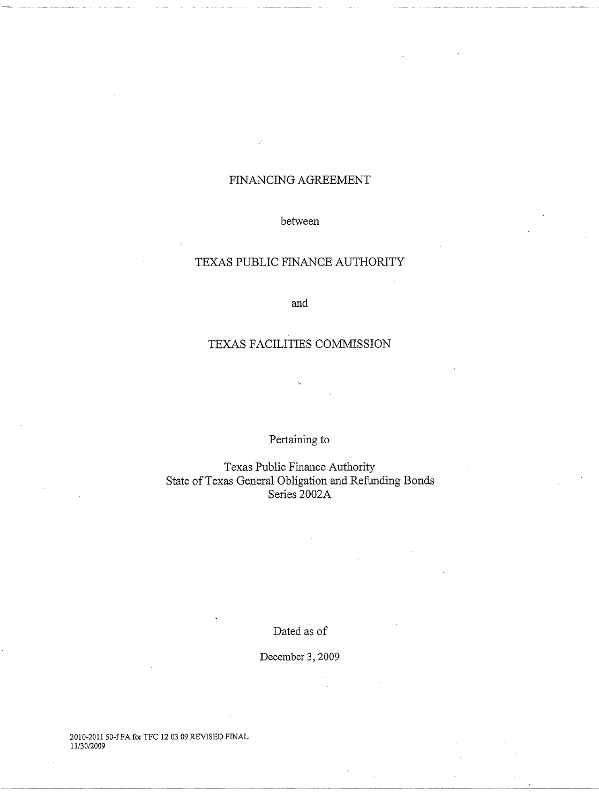## FINANCING AGREEMENT

## between

## TEXAS PUBLIC FINANCE AUTHORITY

and

# TEXAS FACILITIES COMMISSION

## Pertaining to

Texas Public Finance Authority State of Texas General Obligation and Refunding Bonds Series 2002A

Dated as of

December 3, 2009

2010-2011 50-fFA for TFC 12 03 09 REVISED FINAL 11130/2009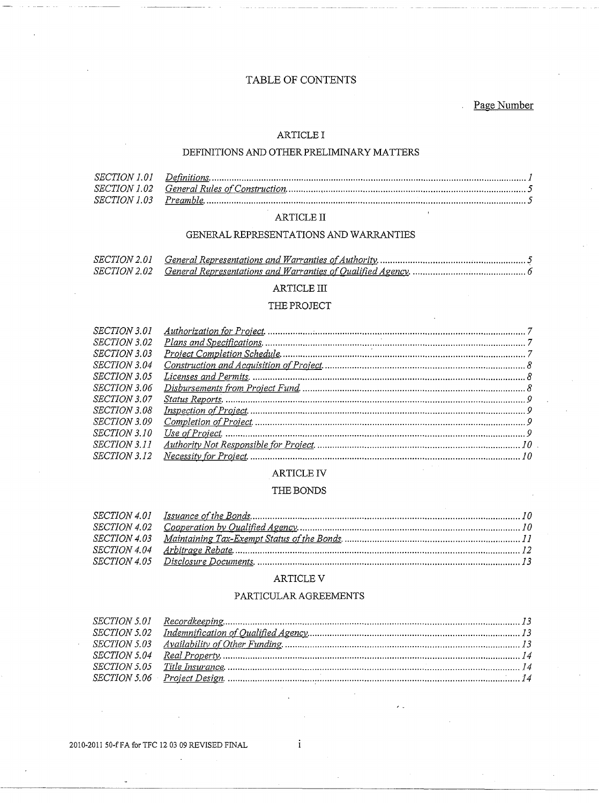## TABLE OF CONTENTS

Page Number

## **ARTICLE I**

## DEFINITIONS AND OTHER PRELIMINARY MATTERS

## $\operatorname{ARTICLE}$  II

## GENERAL REPRESENTATIONS AND WARRANTIES

## $\operatorname{ARTICLE}$  III

#### THE PROJECT

| <i>SECTION 3.01</i> |  |
|---------------------|--|
| <i>SECTION 3.02</i> |  |
| <i>SECTION 3.03</i> |  |
| <i>SECTION 3.04</i> |  |
| SECTION 3.05        |  |
| <i>SECTION 3.06</i> |  |
| <i>SECTION 3.07</i> |  |
| <i>SECTION 3.08</i> |  |
| <i>SECTION 3.09</i> |  |
| <i>SECTION 3.10</i> |  |
| <i>SECTION 3.11</i> |  |
| <i>SECTION 3.12</i> |  |

#### **ARTICLE IV**

#### THE BONDS

#### ARTICLE V

## PARTICULAR AGREEMENTS

2010-2011 50-f FA for TFC 12 03 09 REVISED FINAL

 $\mathbf{i}$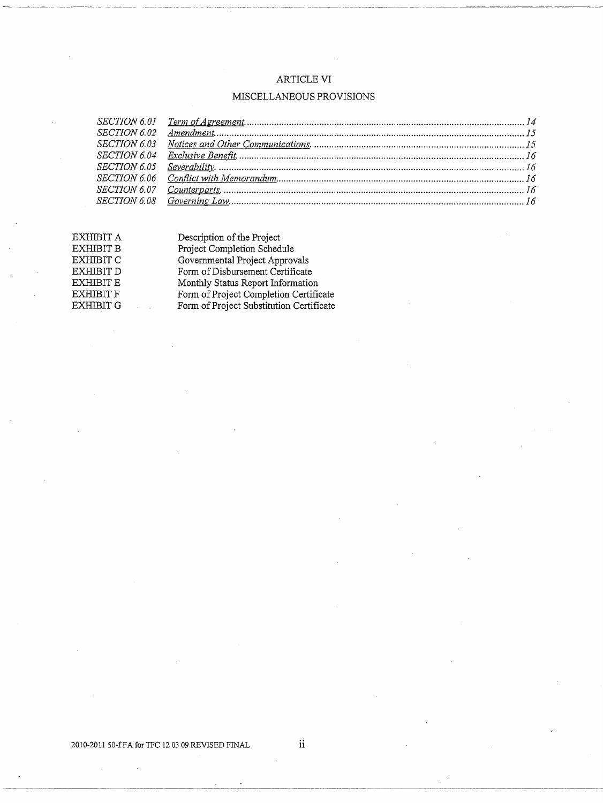## ARTICLE VI

## MISCELLANEOUS PROVISIONS

| EXHIBIT A | Description of the Project               |
|-----------|------------------------------------------|
| EXHIBIT B | Project Completion Schedule              |
| EXHIBIT C | Governmental Project Approvals           |
| EXHIBIT D | Form of Disbursement Certificate         |
| EXHIBIT E | Monthly Status Report Information        |
| EXHIBIT F | Form of Project Completion Certificate   |
| EXHIBIT G | Form of Project Substitution Certificate |
|           |                                          |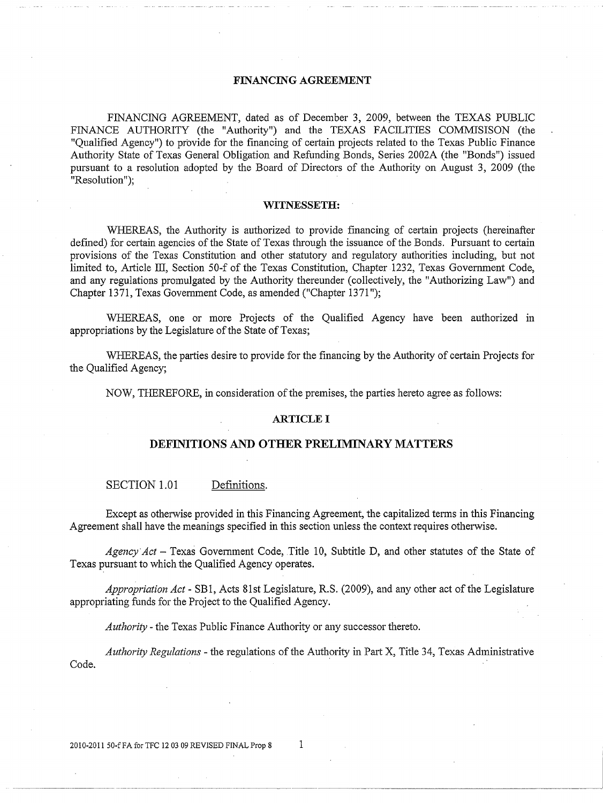#### **FINANCING AGREEMENT**

FINANCING AGREEMENT, dated as of December 3, 2009, between the TEXAS PUBLIC FINANCE AUTHORITY (the "Authority") and the TEXAS FACILITIES COMMISISON (the "Qualified Agency") to provide for the financing of certain projects related to the Texas Public Finance Authority State of Texas General Obligation and Refunding Bonds, Series 2002A (the "Bonds") issued pursuant to a resolution adopted by the Board of Directors of the Authority on August 3, 2009 (the "Resolution");

#### **WITNESSETH:**

WHEREAS, the Authority is authorized to provide financing of certain projects (hereinafter defined) for certain agencies of the State of Texas through the issuance of the Bonds. Pursuant to certain provisions of the Texas Constitution and other statutory and regulatory authorities including, but not limited to, Article III, Section 50-f of the Texas Constitution, Chapter 1232, Texas Government Code, and any regulations promulgated by the Authority thereunder (collectively, the "Authorizing Law") and Chapter 1371, Texas Govennnent Code, as amended ("Chapter 1371 ");

WHEREAS, one or more Projects of the Qualified Agency have been authorized in appropriations by the Legislature of the State of Texas;

WHEREAS, the parties desire to provide for the financing by the Authority of certain Projects for the Qualified Agency;

NOW, THEREFORE, in consideration of the premises, the parties hereto agree as follows:

#### **ARTICLE I**

#### **DEFINITIONS AND OTHER PRELIMINARY MATTERS**

#### SECTION 1.01 Definitions.

Except as otherwise provided in this Financing Agreement, the capitalized tenns in this Financing Agreement shall have the meanings specified in this section unless the context requires otherwise.

Agency Act - Texas Government Code, Title 10, Subtitle D, and other statutes of the State of Texas pursuant to which the Qualified Agency operates.

*Appropriation Act-* SBl, Acts 81st Legislature, R.S. (2009), and any other act of the Legislature appropriating funds for the Project to the Qualified Agency.

*Authority* -the Texas Public Finance Authority or any successor thereto.

*Authority Regulations* - the regulations of the Authority in Part X, Title 34, Texas Administrative Code.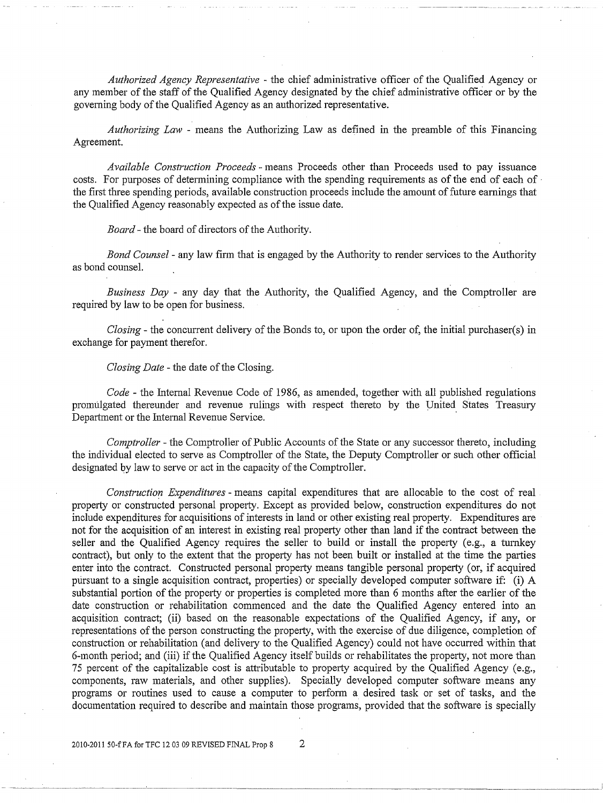*Authorized Agency Representative* - the chief administrative officer of the Qualified Agency or any member of the staff of the Qualified Agency designated by the chief administrative officer or by the governing body of the Qualified Agency as an authorized representative.

*Authorizing Law* - means the Authorizing Law as defined in the preamble of this Financing Agreement.

*Available Construction Proceeds* - means Proceeds other than Proceeds used to pay issuance costs. For purposes of determining compliance with the spending requirements as of the end of each of the first three spending periods, available construction proceeds include the amount of future earnings that the Qualified Agency reasonably expected as of the issue date.

*Board-* the board of directors of the Authority.

*Bond Counsel* - any law firm that is engaged by the Authority to render services to the Authority as bond counsel.

*Business Day* - any day that the Authority, the Qualified Agency, and the Comptroller are required by law to be open for business.

*Closing-* the concurrent delivery of the Bonds to, or upon the order of, the initial purchaser(s) in exchange for payment therefor.

*Closing Date-* the date of the Closing.

*Code* -the Internal Revenue Code of 1986, as amended, together with all published regulations promulgated thereunder and revenue rulings with respect thereto by the United States Treasury Department or the Internal Revenue Service.

*Comptroller-* the Comptroller of Public Accounts of the State or any successor thereto, including the individual elected to serve as Comptroller of the State, the Deputy Comptroller or such other official designated by law to serve or act in the capacity of the Comptroller.

*Construction Expenditures* - means capital expenditures that are allocable to the cost of real property or constructed personal property. Except as provided below, construction expenditures do not include expenditures for acquisitions of interests in land or other existing real property. Expenditures are not for the acquisition of an interest in existing real property other than land if the contract between the seller and the Qualified Agency requires the seller to build or install the property (e.g., a turnkey contract), but only to the extent that the property has not been built or installed at the time the parties enter into the contract. Constructed personal property means tangible personal property (or, if acquired pursuant to a single acquisition contract, properties) or specially developed computer software if: (i) A substantial portion of the property or properties is completed more than 6 months after the earlier of the date construction or rehabilitation commenced and the date the Qualified Agency entered into an acquisition contract; (ii) based on the reasonable expectations of the Qualified Agency, if any, or representations of the person constructing the property, with the exercise of due diligence, completion of construction or rehabilitation (and delivery to the Qualified Agency) could not have occurred within that 6-month period; and (iii) if the Qualified Agency itself builds or rehabilitates the property, not more than 75 percent of the capitalizable cost is attributable to property acquired by the Qualified Agency (e.g., components, raw materials, and other supplies). Specially developed computer software means any programs or routines used to cause a computer to perform a desired task or set of tasks, and the documentation required to describe and maintain those programs, provided that the software is specially

-------·----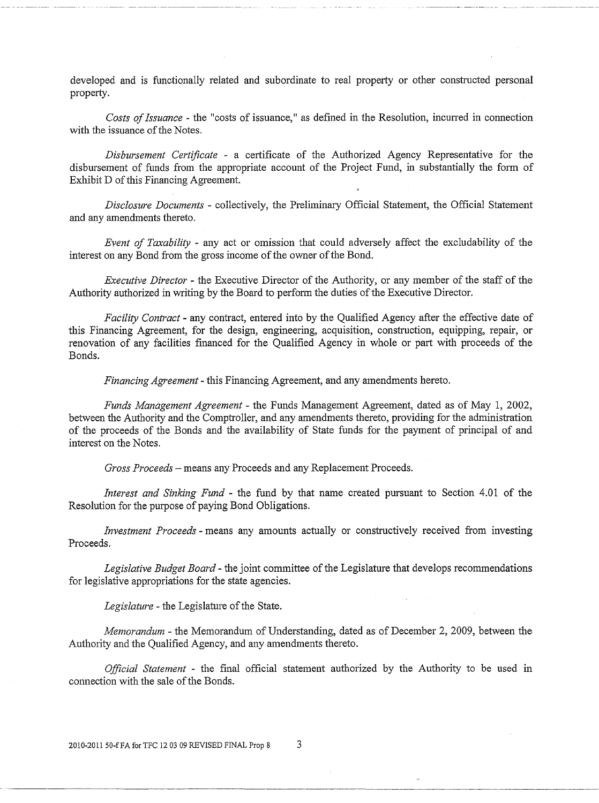developed and is functionally related and subordinate to real property or other constructed personal property.

*Costs of Issuance* - the "costs of issuance," as defined in the Resolution, incurred in connection with the issuance of the Notes.

*Disbursement Certificate* - a certificate of the Authorized Agency Representative for the disbursement of funds from the appropriate account of the Project Fund, in substantially the form of Exhibit D of this Financing Agreement.

*Disclosure Documents* - collectively, the Preliminary Official Statement, the Official Statement and any amendments thereto.

*Event of Taxability* - any act or omission that could adversely affect the excludability of the interest on any Bond from the gross income of the owner of the Bond.

*Executive Director* - the Executive Director of the Authority, or any member of the staff of the Authority authorized in writing by the Board to perfonn the duties of the Executive Director.

*Facility Contract-* any contract, entered into by the Qualified Agency after the effective date of this Financing Agreement, for the design, engineering, acquisition, construction, equipping, repair, or renovation of any facilities financed for the Qualified Agency in whole or part with proceeds of the Bonds.

*Financing Agreement-* this Financing Agreement, and any amendments hereto.

*Funds Management Agreement-* the Funds Management Agreement, dated as of May 1, 2002, between the Authority and the Comptroller, and any amendments thereto, providing for the administration of the proceeds of the Bonds and the availability of State funds for the payment of principal of and interest on the Notes.

*Gross Proceeds-* means any Proceeds and any Replacement Proceeds.

*Interest and Sinking Fund* - the fund by that name created pursuant to Section 4.01 of the Resolution for the purpose of paying Bond Obligations.

*Investment Proceeds* - means any amounts actually or constructively received from investing Proceeds.

*Legislative Budget Board-* the joint committee of the Legislature that develops recommendations for legislative appropriations for the state agencies.

*Legislature-* the Legislature of the State.

*Memorandum* - the Memorandum of Understanding, dated as of December 2, 2009, between the Authority and the Qualified Agency, and any amendments thereto.

*Official Statement* - the final official statement authorized by the Authority to be used m connection with the sale of the Bonds.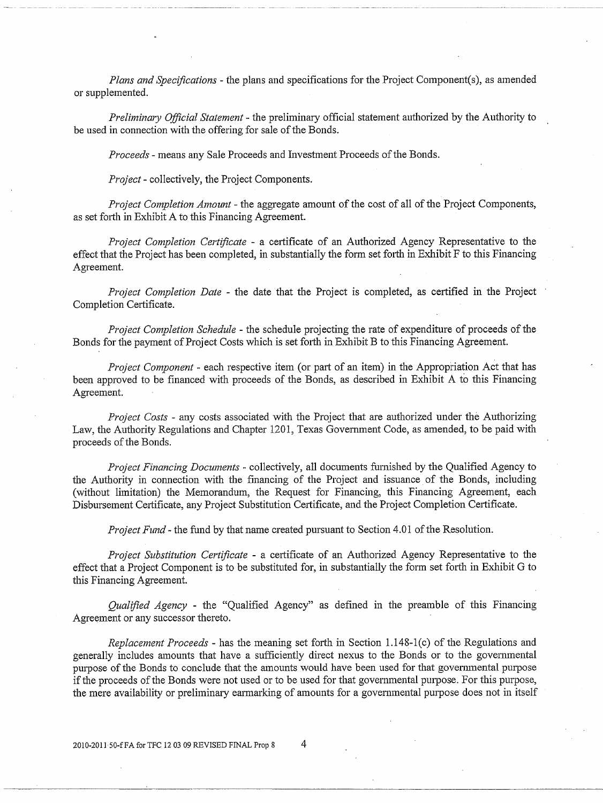*Plans and Specifications-* the plans and specifications for the Project Component(s), as amended or supplemented.

*Preliminmy Official Statement* - the preliminary official statement authorized by the Authority to be used in connection with the offering for sale of the Bonds.

*Proceeds-* means any Sale Proceeds and fuvestment Proceeds of the Bonds.

*Project-* collectively, the Project Components.

*Project Completion Amount-* the aggregate amount of the cost of all of the Project Components, as set forth in Exhibit A to this Financing Agreement.

*Project Completion Certificate* - a certificate of an Authorized Agency Representative to the effect that the Project has been completed, in substantially the form set forth in Exhibit F to this Financing Agreement.

*Project Completion Date* - the date that the Project is completed, as certified in the Project Completion Certificate.

*Project Completion Schedule* - the schedule projecting the rate of expenditure of proceeds of the Bonds for the payment of Project Costs which is set forth in Exhibit B to this Financing Agreement.

*Project Component* - each respective item (or part of an item) in the Appropriation Act that has been approved to be financed with proceeds of the Bonds, as described in Exhibit A to this Financing Agreement.

*Project Costs* - any costs associated with the Project that are authorized under the Authorizing Law, the Authority Regulations and Chapter 1201, Texas Government Code, as amended, to be paid with proceeds of the Bonds.

*Project Financing Documents* - collectively, all documents furnished by the Qualified Agency to the Authority in connection with the financing of the Project and issuance of the Bonds, including (without limitation) the Memorandum, the Request for Financing, this Financing Agreement, each Disbursement Certificate, any Project Substitution Certificate, and the Project Completion Certificate.

*Project Fund-* the fund by that name created pursuant to Section 4.01 of the Resolution.

*Project Substitution Certificate* - a certificate of an Authorized Agency Representative to the effect that a Project Component is to be substituted for, in substantially the form set forth in Exhibit G to this Financing Agreement.

*Qualified Agency* - the "Qualified Agency" as defined m the premnble of this Financing Agreement or any successor thereto.

*Replacement Proceeds* - has the meaning set forth in Section 1.148-1(c) of the Regulations and generally includes amounts that have a sufficiently direct nexus to the Bonds or to the govennnental purpose of the Bonds to conclude that the amounts would have been used for that govennnental purpose if the proceeds of the Bonds were not used or to be used for that governmental purpose. For this purpose, the mere availability or preliminary earmarking of amounts for a governmental purpose does not in itself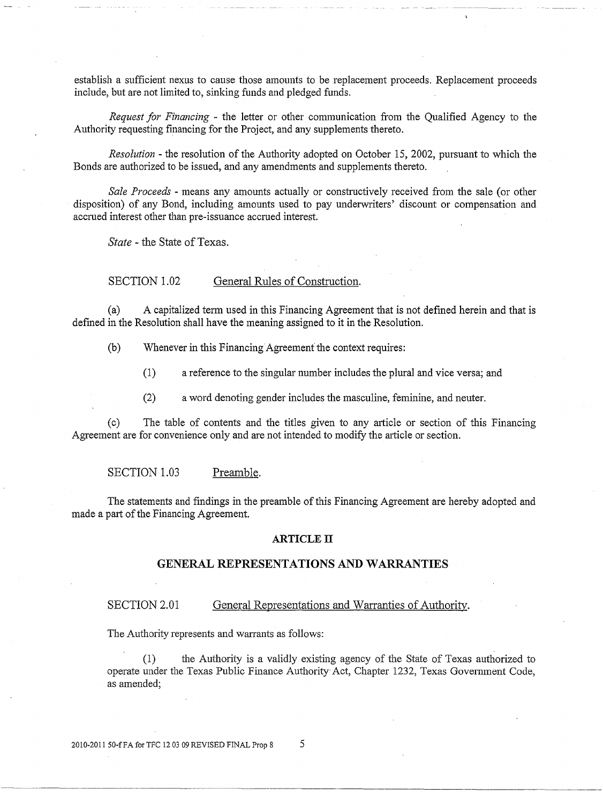establish a sufficient nexus to cause those amounts to be replacement proceeds. Replacement proceeds include, but are not limited to, sinking funds and pledged funds.

*Request for Financing* - the letter or other communication from the Qualified Agency to the Authority requesting financing for the Project, and any supplements thereto.

*Resolution-* the resolution of the Authority adopted on October 15, 2002, pursuant to which the Bonds are authorized to be issued, and any amendments and supplements thereto.

*Sale Proceeds* - means any amounts actually or constructively received from the sale (or other disposition) of any Bond, including amounts used to pay underwriters' discount or compensation and accrued interest other than pre-issuance accrued interest.

*State* - the State of Texas.

SECTION 1.02 General Rules of Construction.

(a) A capitalized term used in this Financing Agreement that is not defined herein and that is defined in the Resolution shall have the meaning assigned to it in the Resolution.

(b) Whenever in this Financing Agreement the context requires:

(1) a reference to the singular number includes the plmal and vice versa; and

(2) a word denoting gender includes the masculine, feminine, and neuter.

(c) The table of contents and the titles given to any article or section of this Financing Agreement are for convenience only and are not intended to modify the article or section.

SECTION 1.03 Preamble.

The statements and findings in the preamble of this Financing Agreement are hereby adopted and made a part of the Financing Agreement.

## **ARTICLE IT**

## **GENERAL REPRESENTATIONS AND WARRANTIES**

#### SECTION 2.01 General Representations and Warranties of Authority.

The Authority represents and warrants as follows:

(1) the Authority is a validly existing agency of the State of Texas authorized to operate under the Texas Public Finance Authority Act, Chapter 1232, Texas Government Code, as amended;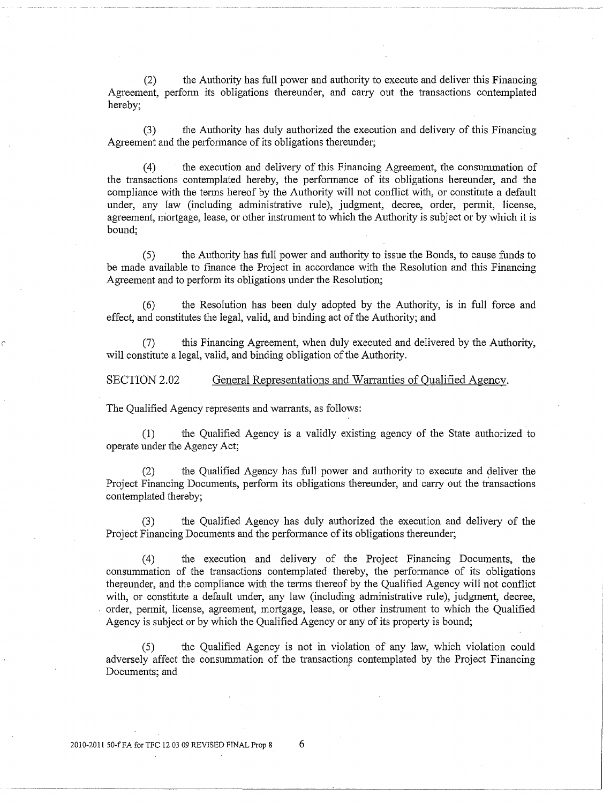(2) the Authority has full power and authority to execute and deliver this Financing Agreement, perform its obligations thereunder, and carry out the transactions contemplated hereby;

(3) the Authority has duly authorized the execution and delivery of this Financing Agreement and the perforinance of its obligations thereunder;

( 4) the execution and delivery of this Financing Agreement, the consummation of the transactions contemplated hereby, the perfonnance of its obligations hereunder, and the compliance with the tenns hereof by the Authority will not conflict with, or constitute a default under, any law (including administrative rule), judgment, decree, order, permit, license, agreement, mortgage, lease, or other instrument to which the Authority is subject or by which it is bound;

(5) the Authority has full power and authority to issue the Bonds, to cause funds to be made available to fmance the Project in accordance with the Resolution and this Financing Agreement and to perform its obligations under the Resolution;

(6) the Resolution has been duly adopted by the Authority, is in full force and effect, and constitutes the legal, valid, and binding act of the Authority; and

this Financing Agreement, when duly executed and delivered by the Authority, will constitute a legal, valid, and binding obligation of the Authority.

SECTION 2.02 General Representations and Warranties of Qualified Agency.

The Qualified Agency represents and warrants, as follows:

*('* 

(1) the Qualified Agency is a validly existing agency of the State authorized to operate under the Agency Act;

(2) the Qualified Agency has full power and authority to execute and deliver the Project Financing Documents, perform its obligations thereunder, and carry out the transactions contemplated thereby;

(3) the Qualified Agency has duly authorized the execution and delivery of the Project Financing Documents and the performance of its obligations thereunder;

( 4) the execution and delivery of the Project Financing Documents, the consummation of the transactions contemplated thereby, the perfonnance of its obligations thereunder, and the compliance with the terms thereof by the Qualified Agency will not conflict with, or constitute a default under, any law (including administrative rule), judgment, decree, order, permit, license, agreement, mortgage, lease, or other instrument to which the Qualified Agency is subject or by which the Qualified Agency or any of its property is bound;

(5) the Qualified Agency is not in violation of any law, which violation could adversely affect the consummation of the transactions contemplated by the Project Financing Documents; and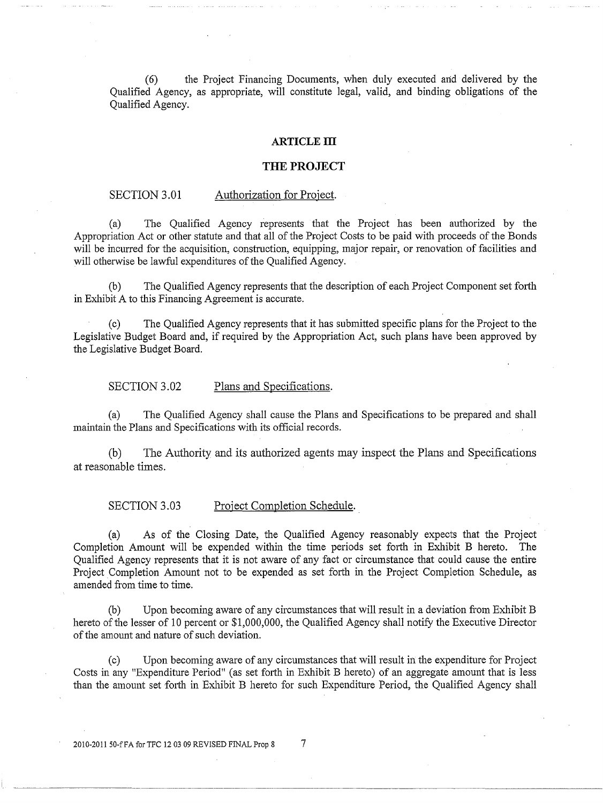(6) the Project Financing Documents, when duly executed and delivered by the Qualified Agency, as appropriate, will constitute legal, valid, and binding obligations of the Qualified Agency.

#### **ARTICLE ill**

#### **THE PROJECT**

#### SECTION 3.01 Authorization for Project.

(a) The Qualified Agency represents that the Project has been authorized by the Appropriation Act or other statute and that all of the Project Costs to be paid with proceeds of the Bonds will be incurred for the acquisition, construction, equipping, major repair, or renovation of facilities and will otherwise be lawful expenditures of the Qualified Agency.

(b) The Qualified Agency represents that the description of each Project Component set forth in Exhibit A to this Financing Agreement is accurate.

(c) The Qualified Agency represents that it has submitted specific plans for the Project to the Legislative Budget Board and, if required by the Appropriation Act, such plans have been approved by the Legislative Budget Board.

SECTION 3.02 Plans and Specifications.

(a) The Qualified Agency shall cause the Plans and Specifications to be prepared and shall maintain the Plans and Specifications with its official records.

(b) The Authority and its authorized agents may inspect the Plans and Specifications at reasonable times.

SECTION 3.03 Project Completion Schedule.

(a) As of the Closing Date, the Qualified Agency reasonably expects that the Project Completion Amount will be expended within the time periods set forth in Exhibit B hereto. The Qualified Agency represents that it is not aware of any fact or circumstance that could cause the entire Project Completion Amount not to be expended as set forth in the Project Completion Schedule, as amended from time to time.

(b) Upon becoming aware of any circumstances that will result in a deviation from Exhibit B hereto of the lesser of 10 percent or \$1,000,000, the Qualified Agency shall notify the Executive Director of the amount and nature of such deviation.

(c) Upon becoming aware of any circumstances that will result in. the expenditure for Project Costs in any "Expenditure Period" (as set forth in Exhibit B hereto) of an aggregate amount that is less than the amount set forth in Exhibit B hereto for such Expenditure Period, the Qualified Agency shall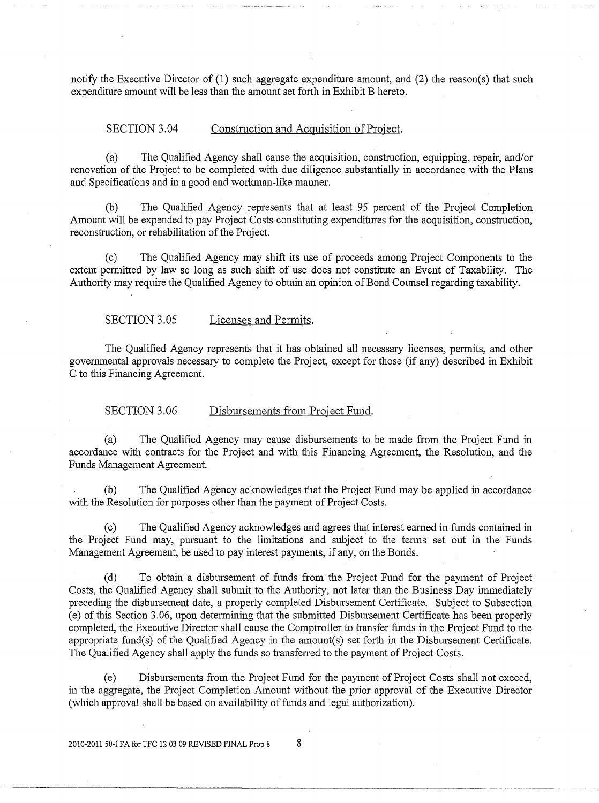notify the Executive Director of (1) such aggregate expenditure amount, and (2) the reason(s) that such expenditure amount will be less than the amount set forth in Exhibit B hereto.

#### SECTION 3.04 Construction and Acquisition of Project.

(a) The Qualified Agency shall cause the acquisition, construction, equipping, repair, and/or renovation of the Project to be completed with due diligence substantially in accordance with the Plans and Specifications and in a good and workman-like manner.

(b) The Qualified Agency represents that at least 95 percent of the Project Completion Amount will be expended to pay Project Costs constituting expenditures for the acquisition, construction, reconstruction, or rehabilitation of the Project.

(c) The Qualified Agency may shift its use of proceeds among Project Components to the extent permitted by law so long as such shift of use does not constitute an Event of Taxability. The Authority may require the Qualified Agency to obtain an opinion of Bond Counsel regarding taxability.

SECTION 3.05 Licenses and Permits.

The Qualified Agency represents that it has obtained all necessary licenses, permits, and other governmental approvals necessmy to complete the Project, except for those (if any) described in Exhibit C to this Financing Agreement.

SECTION 3.06 Disbursements from Project Fund.

(a) The Qualified Agency may cause disbursements to be made from the Project Fund in accordance with contracts for the Project and with this Financing Agreement, the Resolution, and the Funds Management Agreement.

(b) The Qualified Agency acknowledges that the Project Fund may be applied in accordance with the Resolution for purposes other than the payment of Project Costs.

(c) The Qualified Agency acknowledges and agrees that interest eamed in funds contained in the Project Fund may, pursuant to the limitations and subject to the terms set out in the Funds Management Agreement, be used to pay interest payments, if any, on the Bonds.

(d) To obtain a disbursement of funds from the Project Fund for the payment of Project Costs, the Qualified Agency shall submit to the Authority, not later than the Business Day immediately preceding the disbursement date, a properly completed Disbursement Certificate. Subject to Subsection (e) of this Section 3 .06, upon determining that the submitted Disbursement Certificate has been properly completed, the Executive Director shall cause the Comptroller to transfer funds in the Project Fund to the appropriate fund(s) of the Qualified Agency in the amount(s) set forth in the Disbursement Certificate. The Qualified Agency shall apply the funds so transferred to the payment of Project Costs.

(e) Disbursements from the Project Fund for the payment of Project Costs shall not exceed, in the aggregate, the Project Completion Amount without the prior approval of the Executive Director (which approval shall be based on availability of funds and legal authorization).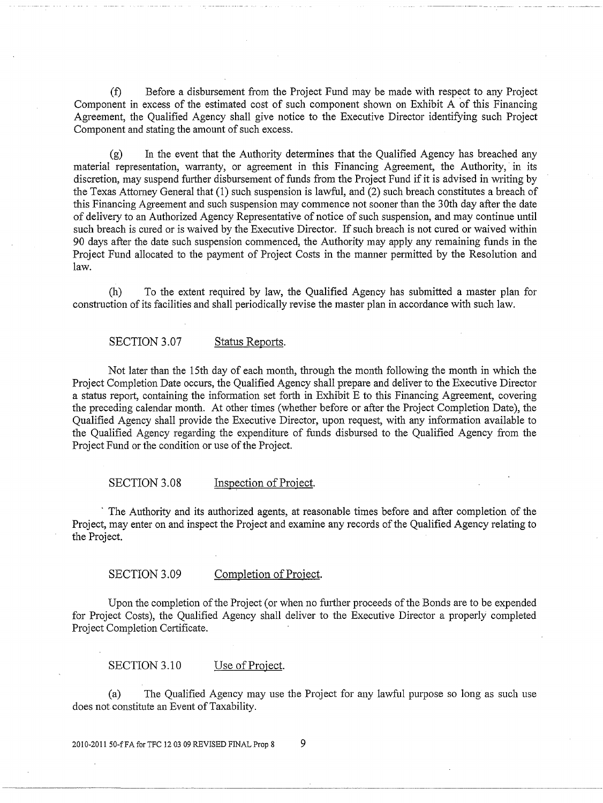(f) Before a disbursement from the Project Fund may be made with respect to any Project Component in excess of the estimated cost of such component shown on Exhibit A of this Financing Agreement, the Qualified Agency shall give notice to the Executive Director identifying such Project Component and stating the amount of such excess.

(g) In the event that the Authority determines that the Qualified Agency has breached any material representation, warranty, or agreement in this Financing Agreement, the Authority, in its discretion, may suspend further disbursement of funds from the Project Fund if it is advised in writing by the Texas Attomey General that (1) such suspension is lawful, and (2) such breach constitutes a breach of this Financing Agreement and such suspension may commence not sooner than the 30th day after the date of delivery to an Authorized Agency Representative of notice of such suspension, and may continue until such breach is cured or is waived by the Executive Director. If such breach is not cured or waived within 90 days after the date such suspension commenced, the Authority may apply any remaining funds in the Project Fund allocated to the payment of Project Costs in the manner permitted by the Resolution and law.

(h) To the extent required by law, the Qualified Agency has submitted a master plan for construction of its facilities and shall periodically revise the master plan in accordance with such law.

## SECTION 3.07 Status Reports.

Not later than the 15th day of each month, through the month following the month in which the Project Completion Date occurs, the Qualified Agency shall prepare and deliver to the Executive Director a status report, containing the information set forth in Exhibit E to this Financing Agreement, covering the preceding calendar month. At other times (whether before or after the Project Completion Date), the Qualified Agency shall provide the Executive Director, upon request, with any information available to the Qualified Agency regarding the expenditure of funds disbursed to the Qualified Agency from the Project Fund or the condition or use of the Project.

#### SECTION 3.08 Inspection of Project.

The Authority and its authorized agents, at reasonable times before and after completion of the Project, may enter on and inspect the Project and examine any records of the Qualified Agency relating to the Project.

## SECTION 3.09 Completion of Project.

Upon the completion of the Project (or when no further proceeds of the Bonds are to be expended for Project Costs), the Qualified Agency shall deliver to the Executive Director a properly completed Project Completion Certificate.

SECTION 3.10 Use of Project.

(a) The Qualified Agency may use the Project for any lawful purpose so long as such use does not constitute an Event of Taxability.

2010-2011 50-f FA for TFC 12 03 09 REVISED FINAL Prop 8 9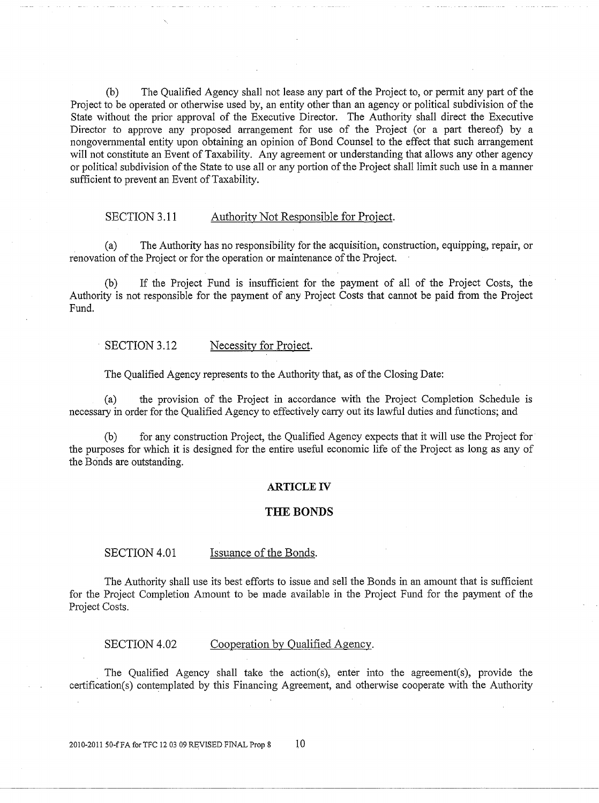(b) The Qualified Agency shall not lease any pati of the Project to, or permit any part of the Project to be operated or otherwise used by, an entity other than an agency or political subdivision of the State without the prior approval of the Executive Director. The Authority shall direct the Executive Director to approve any proposed arrangement for use of the Project (or a part thereof) by a nongovernmental entity upon obtaining an opinion of Bond Counsel to the effect that such arrangement will not constitute an Event of Taxability. Any agreement or understanding that allows any other agency or political subdivision of the State to use all or any portion of the Project shall limit such use in a manner sufficient to prevent an Event of Taxability.

## SECTION 3.11 Authority Not Responsible for Project.

(a) The Authority has no responsibility for the acquisition, construction, equipping, repair, or renovation of the Project or for the operation or maintenance of the Project.

(b) If the Project Fund is insufficient for the payment of all of the Project Costs, the Authority is not responsible for the payment of any Project Costs that cannot be paid from the Project Fund.

#### SECTION 3.12 Necessity for Project.

The Qualified Agency represents to the Authority that, as of the Closing Date:

(a) the provision of the Project in accordance with the Project Completion Schedule is necessary in order for the Qualified Agency to effectively carry out its lawful duties and functions; and

(b) for any construction Project, the Qualified Agency expects that it will use the Project for the purposes for which it is designed for the entire useful economic life of the Project as long as any of the Bonds are outstanding.

#### **ARTICLE** IV

#### **THE BONDS**

#### SECTION 4.01 Issuance of the Bonds.

The Authority shall use its best efforts to issue and sell the Bonds in an amount that is sufficient for the Project Completion Amount to be made available in the Project Fund for the payment of the Project Costs.

SECTION 4.02 Cooperation by Qualified Agency.

The Qualified Agency shall take the action(s), enter into the agreement(s), provide the cetiification(s) contemplated by this Financing Agreement, and otherwise cooperate with the Authority

2010-2011 50-f FA for TFC 12 03 09 REVISED FINAL Prop 8 10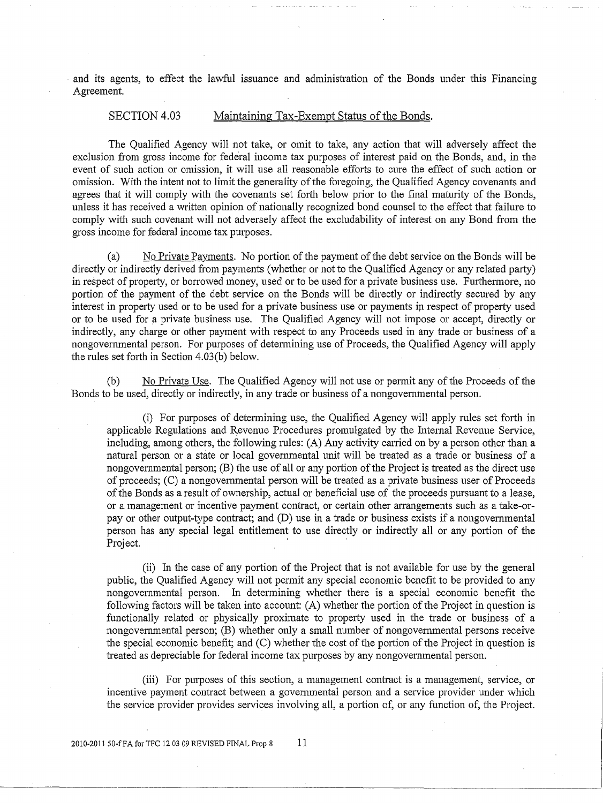and its agents, to effect the lawful issuance and administration of the Bonds under this Financing Agreement.

## SECTION 4.03 Maintaining Tax-Exempt Status of the Bonds.

The Qualified Agency will not take, or omit to take, any action that will adversely affect the exclusion from gross income for federal income tax purposes of interest paid on the Bonds, and, in the event of such action or omission, it will use all reasonable efforts to cure the effect of such action or omission. With the intent not to limit the generality of the foregoing, the Qualified Agency covenants and agrees that it will comply with the covenants set forth below prior to the final maturity of the Bonds, unless it has received a written opinion of nationally recognized bond counsel to the effect that failure to comply with such covenant will not adversely affect the excludability of interest on any Bond from the gross income for federal income tax purposes.

(a) No Private Payments. No portion of the payment of the debt service on the Bonds will be directly or indirectly derived from payments (whether or not to the Qualified Agency or any related party) in respect of property, or borrowed money, used or to be used for a private business use. Furthermore, no portion of the payment of the debt service on the Bonds will be directly or indirectly secured by any interest in property used or to be used for a private business use or payments in respect of property used or to be used for a private business use. The Qualified Agency will not impose or accept, directly or indirectly, any charge or other payment with respect to any Proceeds used in any trade or business of a nongovemmental person. For purposes of detennining use of Proceeds, the Qualified Agency will apply the rules set forth in Section  $4.03(b)$  below.

 $(b)$  No Private Use. The Qualified Agency will not use or permit any of the Proceeds of the Bonds to be used, directly or indirectly, in any trade or business of a nongovemmental person.

(i) For purposes of detennining use, the Qualified Agency will apply rules set forth in applicable Regulations and Revenue Procedures promulgated by the Intemal Revenue Service, including, among others, the following rules: (A) Any activity carried on by a person other than a natural person or a state or local governmental unit will be treated as a trade or business of a nongovernmental person; (B) the use of all or any portion of the Project is treated as the direct use of proceeds; (C) a nongovemmental person will be treated as a private business user of Proceeds of the Bonds as a result of ownership, actual or beneficial use of the proceeds pursuant to a lease, or a management or incentive payment contract, or certain other arrangements such as a take-orpay or other output-type contract; and (D) use in a trade or business exists if a nongovemmental person has any special legal entitlement to use directly or indirectly all or any portion of the Project.

(ii) In the case of any portion of the Project that is not available for use by the general public, the Qualified Agency will not permit any special economic benefit to be provided to any nongovernmental person. In determining whether there is a special economic benefit the following factors will be taken into account:  $(A)$  whether the portion of the Project in question is functionally related or physically proximate to property used in the trade or business of a nongovernmental person; (B) whether only a small number of nongovemmental persons receive the special economic benefit; and (C) whether the cost of the portion of the Project in question is treated as depreciable for federal income tax purposes by any nongovernmental person.

(iii) For purposes of this section, a management contract is a management, service, or incentive payment contract between a governmental person and a service provider under which the service provider provides services involving all, a portion of, or any function of, the Project.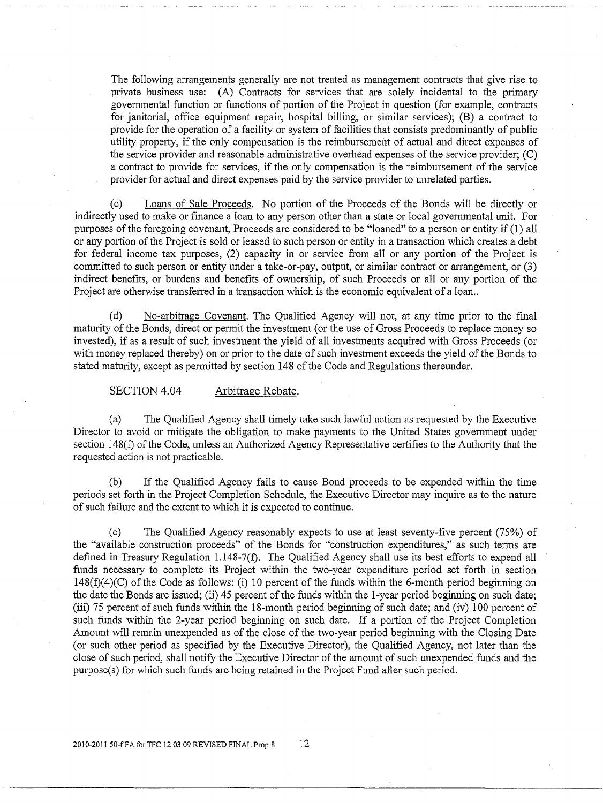The following arrangements generally are not treated as management contracts that give rise to private business use: (A) Contracts for services that are solely incidental to the primary governmental function or functions of portion of the Project in question (for example, contracts for janitorial, office equipment repair, hospital billing, or similar services); (B) a contract to provide for the operation of a facility or system of facilities that consists predominantly of public utility property, if the only compensation is the reimbursement of actual and direct expenses of the service provider and reasonable administrative overhead expenses of the service provider; (C) a contract to provide for services, if the only compensation is the reimbursement of the service provider for actual and direct expenses paid by the service provider to unrelated parties.

(c) Loans of Sale Proceeds. No portion of the Proceeds of the Bonds will be directly or indirectly used to make or finance a loan to any person other than a state or local governmental unit. For purposes of the foregoing covenant, Proceeds are considered to be "loaned" to a person or entity if ( 1) all or any portion of the Project is sold or leased to such person or entity in a transaction which creates a debt for federal income tax purposes, (2) capacity in or service from all or any portion of the Project is committed to such person or entity under a take-or-pay, output, or similar contract or arrangement, or (3) indirect benefits, or burdens and benefits of ownership, of such Proceeds or all or any portion of the Project are otherwise transferred in a transaction which is the economic equivalent of a loan..

(d) No-arbitrage Covenant. The Qualified Agency will not, at any time prior to the final maturity of the Bonds, direct or permit the investment (or the use of Gross Proceeds to replace money so invested), if as a result of such investment the yield of all investments acquired with Gross Proceeds (or with money replaced thereby) on or prior to the date of such investment exceeds the yield of the Bonds to stated maturity, except as permitted by section 148 of the Code and Regulations thereunder.

SECTION 4.04 Arbitrage Rebate.

(a) The Qualified Agency shall timely take such lawful action as requested by the Executive Director to avoid or mitigate the obligation to make payments to the United States government under section 148(f) of the Code, unless an Authorized Agency Representative certifies to the Authority that the requested action is not practicable.

(b) If the Qualified Agency fails to cause Bond proceeds to be expended within the time periods set forth in the Project Completion Schedule, the Executive Director may inquire as to the nature of such failure and the extent to which it is expected to continue.

(c) The Qualified Agency reasonably expects to use at least seventy-five percent (75%) of the "available construction proceeds" of the Bonds for "construction expenditures," as such tenns are defined in Treasury Regulation 1.148-7(f). The Qualified Agency shall use its best efforts to expend all funds necessary to complete its Project within the two-year expenditure period set forth in section 148(f)(4)(C) of the Code as follows: (i) 10 percent of the funds within the 6-month period beginning on the date the Bonds are issued; (ii) 45 percent of the funds within the 1-year period beginning on such date; (iii) 75 percent of such funds within the 18-month period beginning of such date; and (iv) 100 percent of such funds within the 2-year period beginning on such date. If a portion of the Project Completion Amount will remain unexpended as of the close of the two-year period beginning with the Closing Date (or such other period as specified by the Executive Director), the Qualified Agency, not later than the close of such period, shall notify the Executive Director of the amount of such unexpended funds and the purpose(s) for which such funds are being retained in the Project Fund after such period.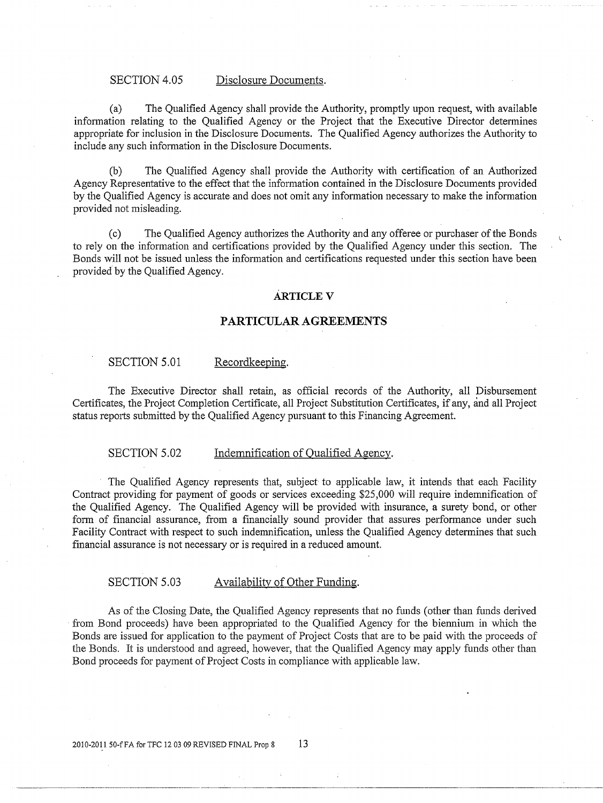#### SECTION 4.05 Disclosure Documents.

(a) The Qualified Agency shall provide the Authority, promptly upon request, with available information relating to the Qualified Agency or the Project that the Executive Director determines appropriate for inclusion in the Disclosure Documents. The Qualified Agency authorizes the Authority to include any such infonnation in the Disclosure Documents.

(b) The Qualified Agency shall provide the Authority with certification of an Authorized Agency Representative to the effect that the information contained in the Disclosure Documents provided by the Qualified Agency is accurate and does not omit any information necessary to make the information provided not misleading.

(c) The Qualified Agency authorizes the Authority and any offeree or purchaser of the Bonds to rely on the information and certifications provided by the Qualified Agency under this section. The Bonds will not be issued unless the infonnation and certifications requested under this section have been provided by the Qualified Agency.

#### **ARTICLEV**

## **PARTICULAR AGREEMENTS**

#### SECTION 5.01 Recordkeeping.

The Executive Director shall retain, as official records of the Authority, all Disbursement Certificates, the Project Completion Certificate, all Project Substitution Certificates, if any, and all Project status reports submitted by the Qualified Agency pursuant to this Financing Agreement.

## SECTION 5.02 Indemnification of Qualified Agency.

The Qualified Agency represents that, subject to applicable law, it intends that each Facility Contract providing for payment of goods or services exceeding \$25,000 will require indemnification of the Qualified Agency. The Qualified Agency will be provided with insurance, a surety bond, or other form of financial assurance, from a financially sound provider that assures performance under such Facility Contract with respect to such indemnification, unless the Qualified Agency determines that such financial assurance is not necessary or is required in a reduced amount.

#### SECTION 5.03 Availability of Other Funding.

As of the Closing Date, the Qualified Agency represents that no funds (other than funds derived from Bond proceeds) have been appropriated to the Qualified Agency for the biennium in which the Bonds are issued for application to the payment of Project Costs that are to be paid with the proceeds of the Bonds. It is understood and agreed, however, that the Qualified Agency may apply funds other than Bond proceeds for payment of Project Costs in compliance with applicable law.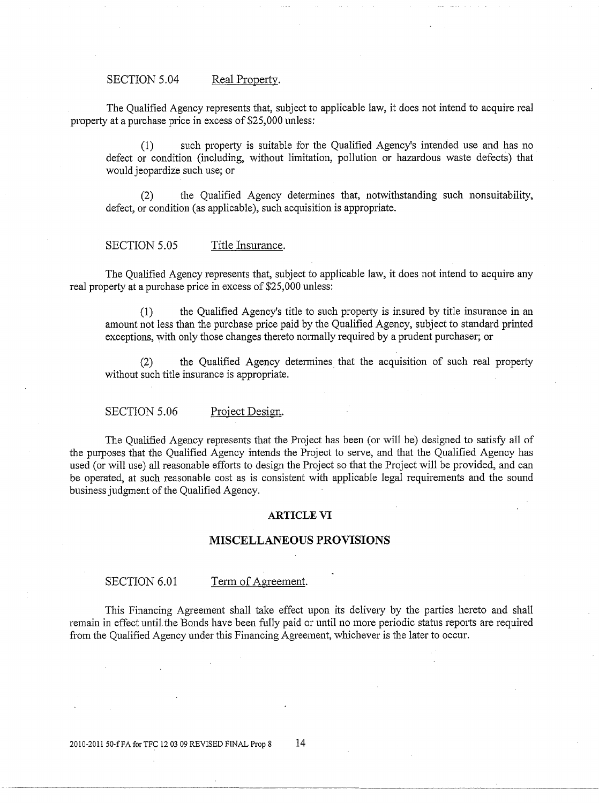#### SECTION 5.04 Real Property.

The Qualified Agency represents that, subject to applicable law, it does not intend to acquire real property at a purchase price in excess of \$25,000 unless:

(1) such property is suitable for the Qualified Agency's intended use and has no defect or condition (including, without limitation, pollution or hazardous waste defects) that would jeopardize such use; or

(2) the Qualified Agency determines that, notwithstanding such nonsuitability, defect, or condition (as applicable), such acquisition is appropriate.

## SECTION 5.05 Title Insurance.

The Qualified Agency represents that, subject to applicable law, it does not intend to acquire any real property at a purchase price in excess of \$25,000 unless:

(1) the Qualified Agency's title to such property is insured by title insurance in an amount not less than the purchase price paid by the Qualified Agency, subject to standard printed exceptions, with only those changes thereto normally required by a prudent purchaser; or

the Qualified Agency determines that the acquisition of such real property without such title insurance is appropriate.

#### SECTION 5.06 Project Design.

The Qualified Agency represents that the Project has been (or will be) designed to satisfy all of the purposes that the Qualified Agency intends the Project to serve, and that the Qualified Agency has used (or will use) all reasonable efforts to design the Project so that the Project will be provided, and can be operated, at such reasonable cost as is consistent with applicable legal requirements and the sound business judgment of the Qualified Agency.

#### **ARTICLE VI**

#### **MISCELLANEOUS PROVISIONS**

SECTION 6.01 Term of Agreement.

This Financing Agreement shall take effect upon its delivery by the parties hereto and shall remain in effect until the Bonds have been fully paid or until no more periodic status reports are required from the Qualified Agency under this Financing Agreement, whichever is the later to occur.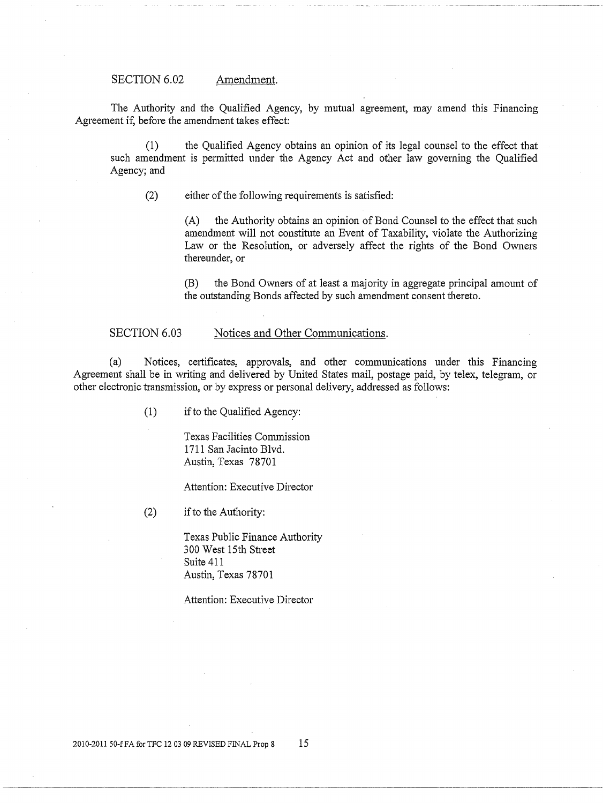SECTION 6.02 Amendment.

The Authority and the Qualified Agency, by mutual agreement, may amend this Financing Agreement if, before the amendment takes effect:

(1) the Qualified Agency obtains an opinion of its legal counsel to the effect that such amendment is permitted under the Agency Act and other law goveming the Qualified Agency; and

(2) either of the following requirements is satisfied:

(A) the Authority obtains an opinion of Bond Counsel to the effect that such amendment will not constitute an Event of Taxability, violate the Authorizing Law or the Resolution, or adversely affect the rights of the Bond Owners thereunder, or

(B) the Bond Owners of at least a majority in aggregate principal amount of the outstanding Bonds affected by such amendment consent thereto.

#### SECTION 6.03 Notices and Other Communications.

(a) Notices, certificates, approvals, and other communications under this Financing Agreement shall be in writing and delivered by United States mail, postage paid, by telex, telegram, or other electronic transmission, or by express or personal delivery, addressed as follows:

( 1) if to the Qualified Agency:

Texas Facilities Commission 1711 San Jacinto Blvd. Austin, Texas 78701

Attention: Executive Director

(2) if to the Authority:

Texas Public Finance Authority 300 West 15th Street Suite 411 Austin, Texas 78701

Attention: Executive Director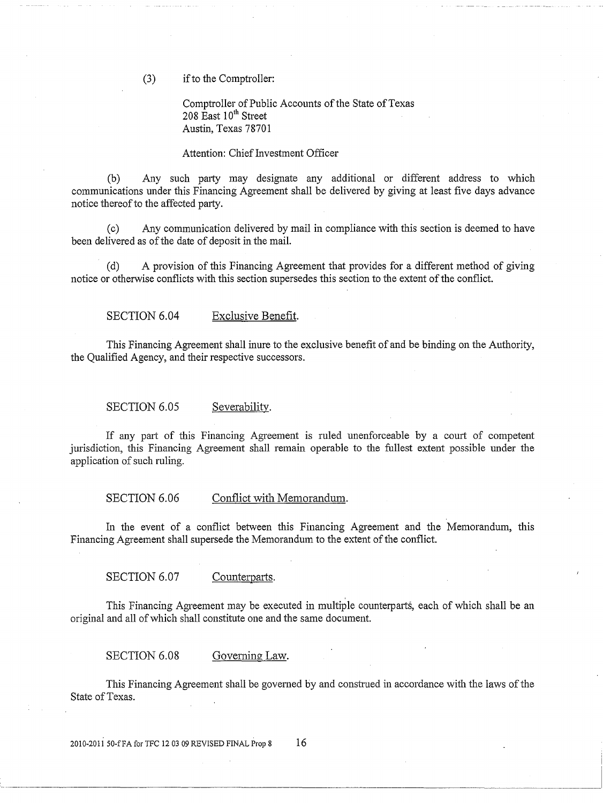(3) if to the Comptroller:

Comptroller of Public Accounts of the State of Texas 208  $\text{East } 10^{\text{th}}$  Street Austin, Texas 78701

#### Attention: Chief Investment Officer

(b) Any such party may designate any additional or different address to which communications under this Financing Agreement shall be delivered by giving at least five days advance notice thereof to the affected party.

(c) Any communication delivered by mail in compliance with this section is deemed to have been delivered as of the date of deposit in the mail.

(d) A provision of this Financing Agreement that provides for a different method of giving notice or otherwise conflicts with this section supersedes this section to the extent of the conflict.

SECTION 6.04 Exclusive Benefit.

This Financing Agreement shall inure to the exclusive benefit of and be binding on the Authority, the Qualified Agency, and their respective successors.

SECTION 6.05 Severability.

If any part of this Financing Agreement is ruled unenforceable by a court of competent jurisdiction, this Financing Agreement shall remain operable to the fullest extent possible under the application of such ruling.

SECTION 6.06 Conflict with Memorandum.

In the event of a conflict between this Financing Agreement and the Memorandum, this Financing Agreement shall supersede the Memorandum to the extent of the conflict.

SECTION 6.07 Counterparts.

This Financing Agreement may be executed in multiple counterparts, each of which shall be an original and all of which shall constitute one and the same document.

SECTION 6.08 Governing Law.

This Financing Agreement shall be governed by and construed in accordance with the laws of the State of Texas.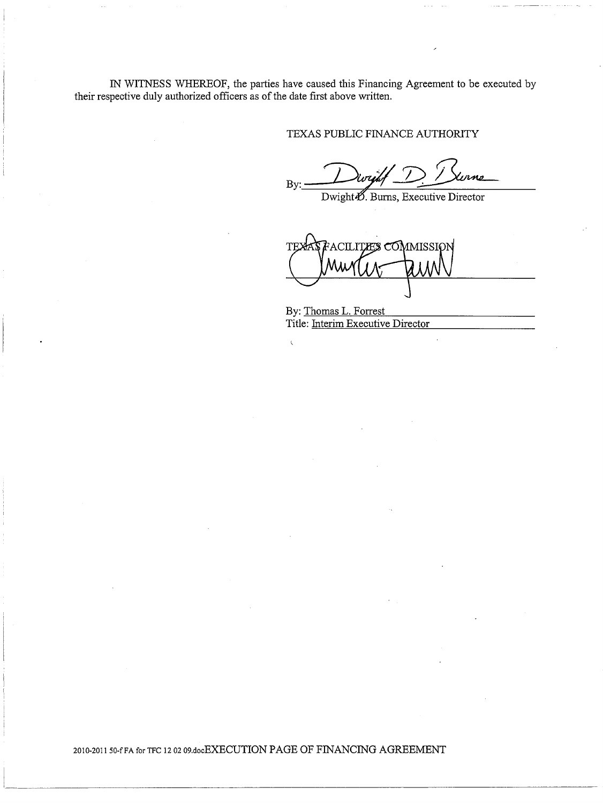IN WITNESS WHEREOF, the parties have caused this Financing Agreement to be executed by their respective duly authorized officers as of the date first above written.

 $\bar{\zeta}$ 

## TEXAS PUBLIC FINANCE AUTHORITY

By: Dwight D. Burns, Executive Director

ACILIT**ÆS CÓM**MISSIG

By: Thomas L. Forrest Title: Interim Executive Director

2010-2011 50-f FA for TFC 12 02 09.docEXECUTION PAGE OF FINANCING AGREEMENT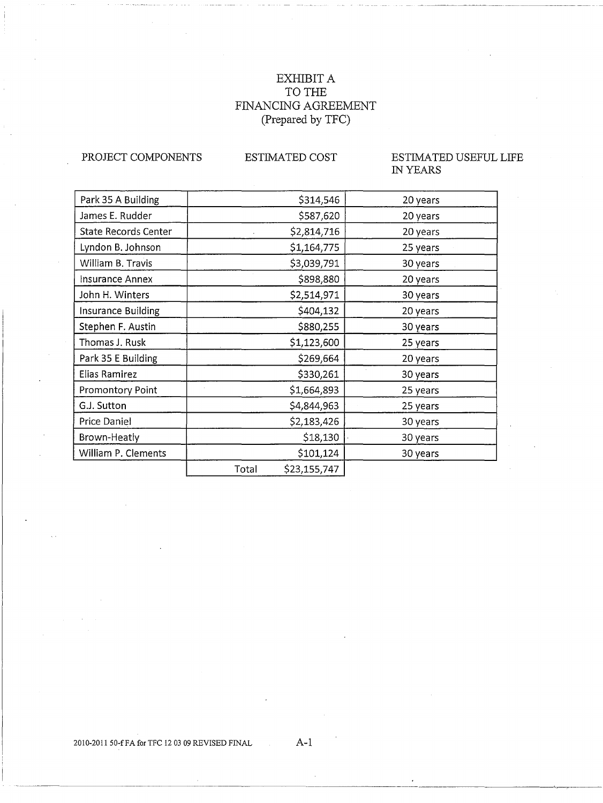## EXHIBIT A TO THE FINANCING AGREEMENT (Prepared by TFC)

PROJECT COMPONENTS

## ESTIMATED COST

## ESTIMATED USEFUL LIFE IN YEARS

| Park 35 A Building          | \$314,546             | 20 years |  |
|-----------------------------|-----------------------|----------|--|
| James E. Rudder             | \$587,620             | 20 years |  |
| <b>State Records Center</b> | \$2,814,716           | 20 years |  |
| Lyndon B. Johnson           | \$1,164,775           | 25 years |  |
| William B. Travis           | \$3,039,791           | 30 years |  |
| Insurance Annex             | \$898,880             | 20 years |  |
| John H. Winters             | \$2,514,971           | 30 years |  |
| Insurance Building          | \$404,132             | 20 years |  |
| Stephen F. Austin           | \$880,255             | 30 years |  |
| Thomas J. Rusk              | \$1,123,600           | 25 years |  |
| Park 35 E Building          | \$269,664             | 20 years |  |
| Elias Ramirez               | \$330,261             | 30 years |  |
| Promontory Point            | \$1,664,893           | 25 years |  |
| G.J. Sutton                 | \$4,844,963           | 25 years |  |
| Price Daniel                | \$2,183,426           | 30 years |  |
| Brown-Heatly                | \$18,130              | 30 years |  |
| William P. Clements         | \$101,124             | 30 years |  |
|                             | \$23,155,747<br>Total |          |  |

## 2010-2011 50-f FA for TFC 12 03 09 REVISED FINAL  $A-1$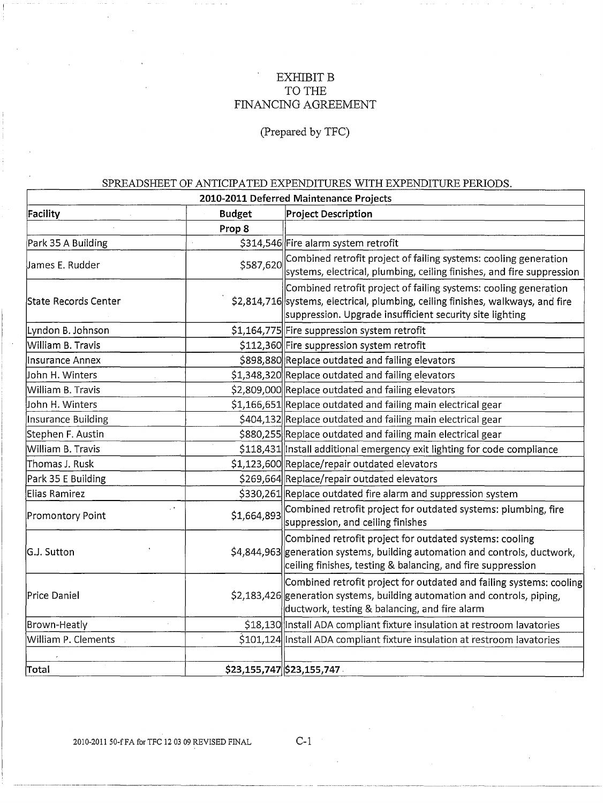## EXHIBIT **B** TO THE FINANCING AGREEMENT

(Prepared by TFC)

## SPREADSHEET OF ANTICIPATED EXPENDITURES WITH EXPENDITURE PERIODS

| 2010-2011 Deferred Maintenance Projects |                    |                                                                                                                                                                                                                 |  |  |  |  |
|-----------------------------------------|--------------------|-----------------------------------------------------------------------------------------------------------------------------------------------------------------------------------------------------------------|--|--|--|--|
| Facility                                | <b>Budget</b>      | <b>Project Description</b>                                                                                                                                                                                      |  |  |  |  |
|                                         | Prop 8             |                                                                                                                                                                                                                 |  |  |  |  |
| Park 35 A Building                      |                    | \$314,546 Fire alarm system retrofit                                                                                                                                                                            |  |  |  |  |
| James E. Rudder                         | \$587,620          | Combined retrofit project of failing systems: cooling generation<br>systems, electrical, plumbing, ceiling finishes, and fire suppression                                                                       |  |  |  |  |
| State Records Center                    |                    | Combined retrofit project of failing systems: cooling generation<br>\$2,814,716 systems, electrical, plumbing, ceiling finishes, walkways, and fire<br>suppression. Upgrade insufficient security site lighting |  |  |  |  |
| Lyndon B. Johnson                       |                    | \$1,164,775 Fire suppression system retrofit                                                                                                                                                                    |  |  |  |  |
| William B. Travis                       |                    | \$112,360 Fire suppression system retrofit                                                                                                                                                                      |  |  |  |  |
| Insurance Annex                         |                    | \$898,880 Replace outdated and failing elevators                                                                                                                                                                |  |  |  |  |
| John H. Winters                         |                    | \$1,348,320 Replace outdated and failing elevators                                                                                                                                                              |  |  |  |  |
| William B. Travis                       |                    | \$2,809,000 Replace outdated and failing elevators                                                                                                                                                              |  |  |  |  |
| John H. Winters                         |                    | \$1,166,651 Replace outdated and failing main electrical gear                                                                                                                                                   |  |  |  |  |
| Insurance Building                      |                    | \$404,132 Replace outdated and failing main electrical gear                                                                                                                                                     |  |  |  |  |
| Stephen F. Austin                       |                    | \$880,255 Replace outdated and failing main electrical gear                                                                                                                                                     |  |  |  |  |
| William B. Travis                       |                    | \$118,431 Install additional emergency exit lighting for code compliance                                                                                                                                        |  |  |  |  |
| Thomas J. Rusk                          |                    | \$1,123,600 Replace/repair outdated elevators                                                                                                                                                                   |  |  |  |  |
| Park 35 E Building                      |                    | \$269,664 Replace/repair outdated elevators                                                                                                                                                                     |  |  |  |  |
| Elias Ramirez                           |                    | \$330,261 Replace outdated fire alarm and suppression system                                                                                                                                                    |  |  |  |  |
| Promontory Point                        | , i<br>\$1,664,893 | Combined retrofit project for outdated systems: plumbing, fire<br>suppression, and ceiling finishes                                                                                                             |  |  |  |  |
| G.J. Sutton                             |                    | Combined retrofit project for outdated systems: cooling<br>\$4,844,963 generation systems, building automation and controls, ductwork,<br>ceiling finishes, testing & balancing, and fire suppression           |  |  |  |  |
| Price Daniel                            |                    | Combined retrofit project for outdated and failing systems: cooling<br>\$2,183,426 generation systems, building automation and controls, piping,<br>ductwork, testing & balancing, and fire alarm               |  |  |  |  |
| Brown-Heatly                            |                    | \$18,130 Install ADA compliant fixture insulation at restroom lavatories                                                                                                                                        |  |  |  |  |
| William P. Clements                     |                    | \$101,124 Install ADA compliant fixture insulation at restroom lavatories                                                                                                                                       |  |  |  |  |
| Total                                   |                    | \$23,155,747 \$23,155,747                                                                                                                                                                                       |  |  |  |  |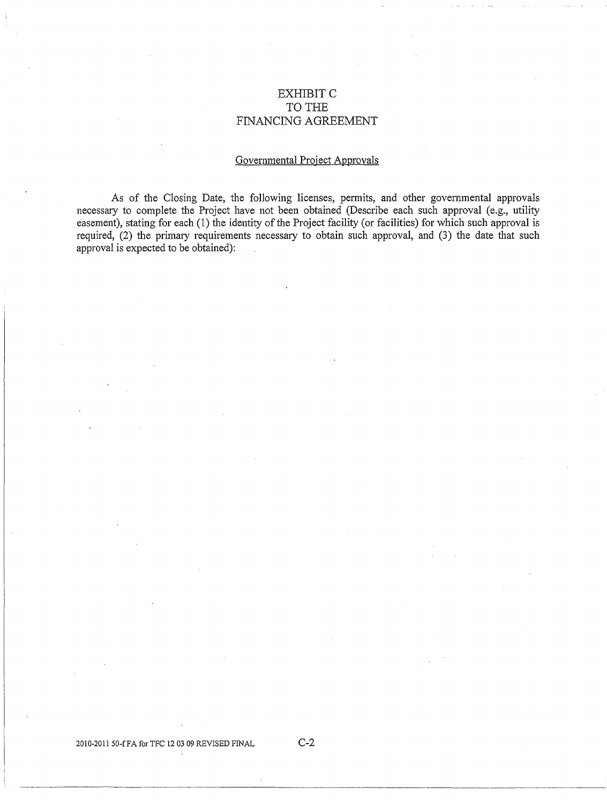## EXHIBITC TO THE FINANCING AGREEMENT

## Governmental Project Approvals

As of the Closing Date, the following licenses, permits, and other governmental approvals necessary to complete the Project have not been obtained (Describe each such approval (e.g., utility easement), stating for each (1) the identity of the Project facility (or facilities) for which such approval is required, (2) the primary requirements necessary to obtain such approval, and (3) the date that such approval is expected to be obtained):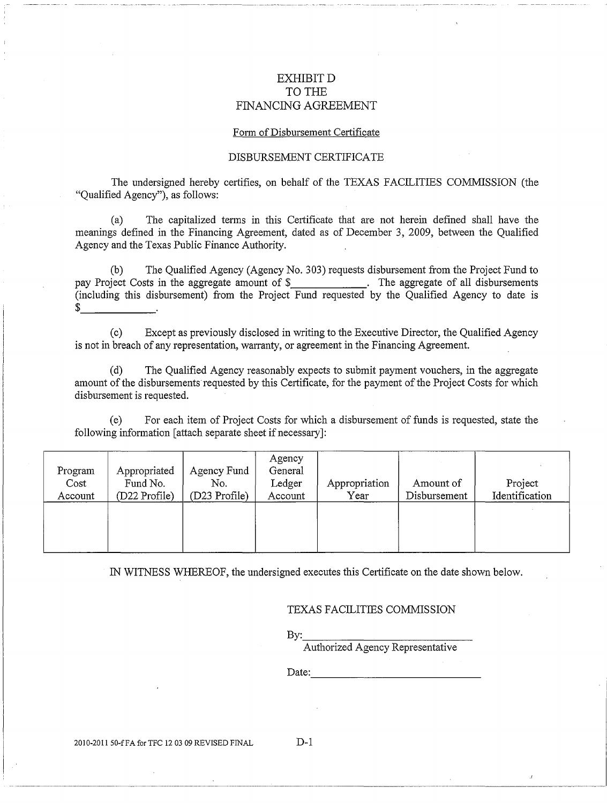## EXHIBITD TO THE FINANCING AGREEMENT

#### Form of Disbursement Certificate

#### DISBURSEMENT CERTIFICATE

The undersigned hereby cetiifies, on behalf of the TEXAS FACILITIES COMMISSION (the "Qualified Agency"), as follows:

(a) The capitalized terms in this Certificate that are not herein defined shall have the meanings defined in the Financing Agreement, dated as of December 3, 2009, between the Qualified Agency and the Texas Public Finance Authority.

(b) The Qualified Agency (Agency No. 303) requests disbursement from the Project Fund to pay Project Costs in the aggregate amount of \$\_\_\_\_\_\_\_\_\_\_\_\_\_\_\_. The aggregate of all disbursements (including this disbursement) from the Project Fund requested by the Qualified Agency to date is \$

(c) Except as previously disclosed in writing to the Executive Director, the Qualified Agency is not in breach of any representation, warranty, or agreement in the Financing Agreement.

(d) The Qualified Agency reasonably expects to submit payment vouchers, in the aggregate amount of the disbursements requested by this Certificate, for the payment of the Project Costs for which disbursement is requested.

(e) For each item of Project Costs for which a disbursement of funds is requested, state the following information [attach separate sheet if necessary]:

| Program<br>Cost<br>Account | Appropriated<br>Fund No.<br>(D22 Profile) | Agency Fund<br>No.<br>(D23 Profile) | Agency<br>General<br>Ledger<br>Account | Appropriation<br>Year | Amount of<br>Disbursement | Project<br>Identification |
|----------------------------|-------------------------------------------|-------------------------------------|----------------------------------------|-----------------------|---------------------------|---------------------------|
|                            |                                           |                                     |                                        |                       |                           |                           |

IN WITNESS WHEREOF, the undersigned executes this Cetiificate on the date shown below.

TEXAS FACILITIES COMMISSION

By: \_\_\_\_\_\_\_\_\_\_\_\_ \_

Authorized Agency Representative

Date: -------------------------

2010-2011 50-fFA for TFC 12 03 09 REVISED FINAL D-1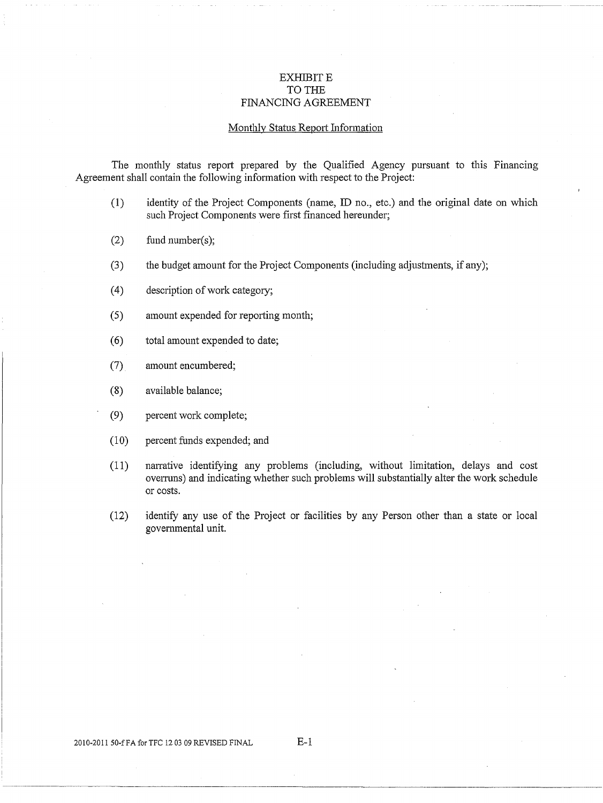## EXHIBIT E TO THE FINANCING AGREEMENT

#### Monthly Status Report Information

The monthly status report prepared by the Qualified Agency pursuant to this Financing Agreement shall contain the following information with respect to the Project:

- (1) identity of the Project Components (name, ID no., etc.) and the original date on which such Project Components were first financed hereunder;
- (2) fund number(s);
- (3) the budget amount for the Project Components (including adjustments, if any);
- ( 4) description of work category;
- (5) amount expended for reporting month;
- ( 6) total amount expended to date;
- (7) amount encumbered;
- (8) available balance;
- (9) percent work complete;
- (10) percent funds expended; and
- (11) nanative identifying any problems (including, without limitation, delays and cost ovenuns) and indicating whether such problems will substantially alter the work schedule or costs.
- (12) identify any use of the Project or facilities by any Person other than a state or local govenunental unit.

2010-2011 50-f FA for TFC 12 03 09 REVISED FINAL E-1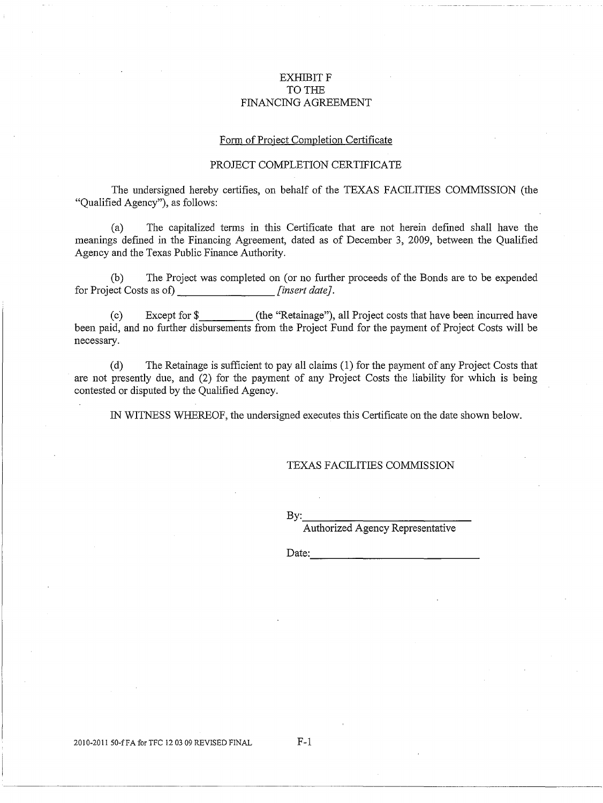#### EXHIBIT F TO THE FINANCING AGREEMENT

#### Form of Project Completion Certificate

#### PROJECT COMPLETION CERTIFICATE

The undersigned hereby certifies, on behalf of the TEXAS FACILITIES COMMISSION (the "Qualified Agency"), as follows:

(a) The capitalized terms in this Certificate that are not herein defined shall have the meanings defmed in the Financing Agreement, dated as of December 3, 2009, between the Qualified Agency and the Texas Public Finance Authority.

(b) The Project was completed on (or no further proceeds of the Bonds are to be expended for Project Costs as of) *[insert date].* 

(c) Except for\$ (the "Retainage"), all Project costs that have been incuned have been paid, and no further disbursements from the Project Fund for the payment of Project Costs will be necessary.

(d) The Retainage is sufficient to pay all claims (1) for the payment of any Project Costs that are not presently due, and (2) for the payment of any Project Costs the liability for which is being contested or disputed by the Qualified Agency.

IN WITNESS WHEREOF, the undersigned executes this Certificate on the date shown below.

#### TEXAS FACILITIES COMMISSION

By: \_\_\_\_\_\_\_\_\_\_\_\_ \_

Authorized Agency Representative

Date: \_\_\_\_\_\_\_\_\_\_\_\_\_ \_

2010-2011 50-f FA for TFC 12 03 09 REVISED FINAL F-1